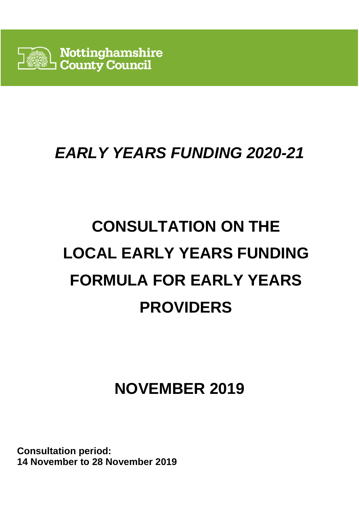

# **EARLY YEARS FUNDING 2020-21**

# **CONSULTATION ON THE LOCAL EARLY YEARS FUNDING FORMULA FOR EARLY YEARS PROVIDERS**

# **NOVEMBER 2019**

**Consultation period: 14 November to 28 November 2019**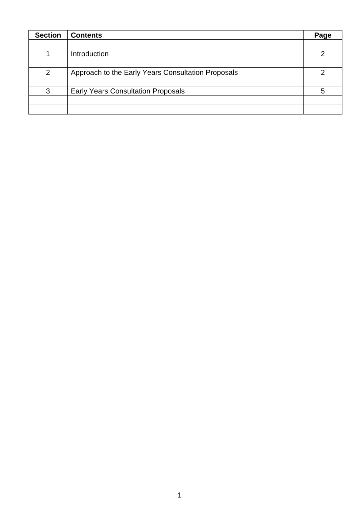| <b>Section</b> | <b>Contents</b>                                    | Page |
|----------------|----------------------------------------------------|------|
|                |                                                    |      |
|                | Introduction                                       | റ    |
|                |                                                    |      |
| $\overline{2}$ | Approach to the Early Years Consultation Proposals |      |
|                |                                                    |      |
| 3              | <b>Early Years Consultation Proposals</b>          | b    |
|                |                                                    |      |
|                |                                                    |      |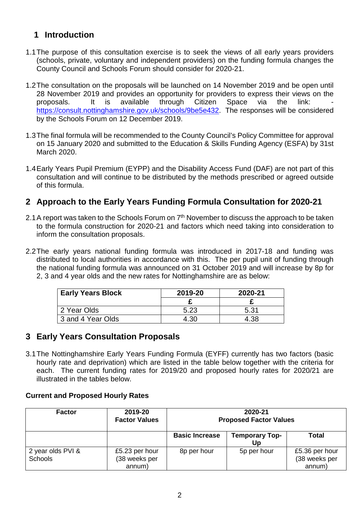# **1 Introduction**

- 1.1 The purpose of this consultation exercise is to seek the views of all early years providers (schools, private, voluntary and independent providers) on the funding formula changes the County Council and Schools Forum should consider for 2020-21.
- 1.2 The consultation on the proposals will be launched on 14 November 2019 and be open until 28 November 2019 and provides an opportunity for providers to express their views on the proposals. It is available through Citizen Space via the link: https://consult.nottinghamshire.gov.uk/schools/9be5e432. The responses will be considered by the Schools Forum on 12 December 2019.
- 1.3 The final formula will be recommended to the County Council's Policy Committee for approval on 15 January 2020 and submitted to the Education & Skills Funding Agency (ESFA) by 31st March 2020.
- 1.4 Early Years Pupil Premium (EYPP) and the Disability Access Fund (DAF) are not part of this consultation and will continue to be distributed by the methods prescribed or agreed outside of this formula.

# **2 Approach to the Early Years Funding Formula Consultation for 2020-21**

- 2.1 A report was taken to the Schools Forum on 7<sup>th</sup> November to discuss the approach to be taken to the formula construction for 2020-21 and factors which need taking into consideration to inform the consultation proposals.
- 2.2 The early years national funding formula was introduced in 2017-18 and funding was distributed to local authorities in accordance with this. The per pupil unit of funding through the national funding formula was announced on 31 October 2019 and will increase by 8p for 2, 3 and 4 year olds and the new rates for Nottinghamshire are as below:

| <b>Early Years Block</b> | 2019-20 | 2020-21 |  |
|--------------------------|---------|---------|--|
|                          |         |         |  |
| 2 Year Olds              | 5.23    | 5.31    |  |
| 3 and 4 Year Olds        | 4.30    | 4.38    |  |

# **3 Early Years Consultation Proposals**

3.1 The Nottinghamshire Early Years Funding Formula (EYFF) currently has two factors (basic hourly rate and deprivation) which are listed in the table below together with the criteria for each. The current funding rates for 2019/20 and proposed hourly rates for 2020/21 are illustrated in the tables below.

# **Current and Proposed Hourly Rates**

| <b>Factor</b>                | 2019-20<br><b>Factor Values</b>           | 2020-21<br><b>Proposed Factor Values</b> |                      |                                           |
|------------------------------|-------------------------------------------|------------------------------------------|----------------------|-------------------------------------------|
|                              |                                           | <b>Basic Increase</b>                    | Temporary Top-<br>Uɒ | Total                                     |
| 2 year olds PVI &<br>Schools | £5.23 per hour<br>(38 weeks per<br>annum) | 8p per hour                              | 5p per hour          | £5.36 per hour<br>(38 weeks per<br>annum) |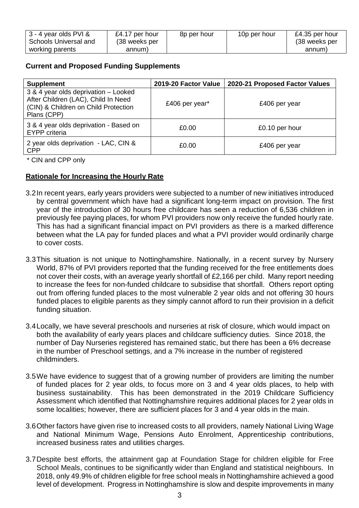| 3 - 4 year olds PVI & | £4.17 per hour | 8p per hour | 10p per hour | £4.35 per hour |
|-----------------------|----------------|-------------|--------------|----------------|
| Schools Universal and | (38 weeks per  |             |              | (38 weeks per  |
| working parents       | annum)         |             |              | annum)         |

## **Current and Proposed Funding Supplements**

| <b>Supplement</b>                                                                                                                  | 2019-20 Factor Value | 2020-21 Proposed Factor Values |
|------------------------------------------------------------------------------------------------------------------------------------|----------------------|--------------------------------|
| 3 & 4 year olds deprivation - Looked<br>After Children (LAC), Child In Need<br>(CIN) & Children on Child Protection<br>Plans (CPP) | £406 per year*       | £406 per year                  |
| 3 & 4 year olds deprivation - Based on<br><b>EYPP</b> criteria                                                                     | £0.00                | £0.10 per hour                 |
| 2 year olds deprivation - LAC, CIN &<br><b>CPP</b>                                                                                 | £0.00                | £406 per year                  |

\* CIN and CPP only

# **Rationale for Increasing the Hourly Rate**

- 3.2 In recent years, early years providers were subjected to a number of new initiatives introduced by central government which have had a significant long-term impact on provision. The first year of the introduction of 30 hours free childcare has seen a reduction of 6,536 children in previously fee paying places, for whom PVI providers now only receive the funded hourly rate. This has had a significant financial impact on PVI providers as there is a marked difference between what the LA pay for funded places and what a PVI provider would ordinarily charge to cover costs.
- 3.3 This situation is not unique to Nottinghamshire. Nationally, in a recent survey by Nursery World, 87% of PVI providers reported that the funding received for the free entitlements does not cover their costs, with an average yearly shortfall of £2,166 per child. Many report needing to increase the fees for non-funded childcare to subsidise that shortfall. Others report opting out from offering funded places to the most vulnerable 2 year olds and not offering 30 hours funded places to eligible parents as they simply cannot afford to run their provision in a deficit funding situation.
- 3.4 Locally, we have several preschools and nurseries at risk of closure, which would impact on both the availability of early years places and childcare sufficiency duties. Since 2018, the number of Day Nurseries registered has remained static, but there has been a 6% decrease in the number of Preschool settings, and a 7% increase in the number of registered childminders.
- 3.5 We have evidence to suggest that of a growing number of providers are limiting the number of funded places for 2 year olds, to focus more on 3 and 4 year olds places, to help with business sustainability. This has been demonstrated in the 2019 Childcare Sufficiency Assessment which identified that Nottinghamshire requires additional places for 2 year olds in some localities; however, there are sufficient places for 3 and 4 year olds in the main.
- 3.6 Other factors have given rise to increased costs to all providers, namely National Living Wage and National Minimum Wage, Pensions Auto Enrolment, Apprenticeship contributions, increased business rates and utilities charges.
- 3.7 Despite best efforts, the attainment gap at Foundation Stage for children eligible for Free School Meals, continues to be significantly wider than England and statistical neighbours. In 2018, only 49.9% of children eligible for free school meals in Nottinghamshire achieved a good level of development. Progress in Nottinghamshire is slow and despite improvements in many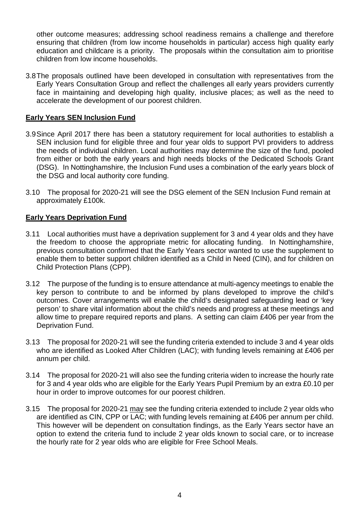other outcome measures; addressing school readiness remains a challenge and therefore ensuring that children (from low income households in particular) access high quality early education and childcare is a priority. The proposals within the consultation aim to prioritise children from low income households.

3.8 The proposals outlined have been developed in consultation with representatives from the Early Years Consultation Group and reflect the challenges all early years providers currently face in maintaining and developing high quality, inclusive places; as well as the need to accelerate the development of our poorest children.

## **Early Years SEN Inclusion Fund**

- 3.9 Since April 2017 there has been a statutory requirement for local authorities to establish a SEN inclusion fund for eligible three and four year olds to support PVI providers to address the needs of individual children. Local authorities may determine the size of the fund, pooled from either or both the early years and high needs blocks of the Dedicated Schools Grant (DSG). In Nottinghamshire, the Inclusion Fund uses a combination of the early years block of the DSG and local authority core funding.
- 3.10 The proposal for 2020-21 will see the DSG element of the SEN Inclusion Fund remain at approximately £100k.

#### **Early Years Deprivation Fund**

- 3.11 Local authorities must have a deprivation supplement for 3 and 4 year olds and they have the freedom to choose the appropriate metric for allocating funding. In Nottinghamshire, previous consultation confirmed that the Early Years sector wanted to use the supplement to enable them to better support children identified as a Child in Need (CIN), and for children on Child Protection Plans (CPP).
- 3.12 The purpose of the funding is to ensure attendance at multi-agency meetings to enable the key person to contribute to and be informed by plans developed to improve the child's outcomes. Cover arrangements will enable the child's designated safeguarding lead or 'key person' to share vital information about the child's needs and progress at these meetings and allow time to prepare required reports and plans. A setting can claim £406 per year from the Deprivation Fund.
- 3.13 The proposal for 2020-21 will see the funding criteria extended to include 3 and 4 year olds who are identified as Looked After Children (LAC); with funding levels remaining at £406 per annum per child.
- 3.14 The proposal for 2020-21 will also see the funding criteria widen to increase the hourly rate for 3 and 4 year olds who are eligible for the Early Years Pupil Premium by an extra £0.10 per hour in order to improve outcomes for our poorest children.
- 3.15 The proposal for 2020-21 may see the funding criteria extended to include 2 year olds who are identified as CIN, CPP or LAC; with funding levels remaining at £406 per annum per child. This however will be dependent on consultation findings, as the Early Years sector have an option to extend the criteria fund to include 2 year olds known to social care, or to increase the hourly rate for 2 year olds who are eligible for Free School Meals.